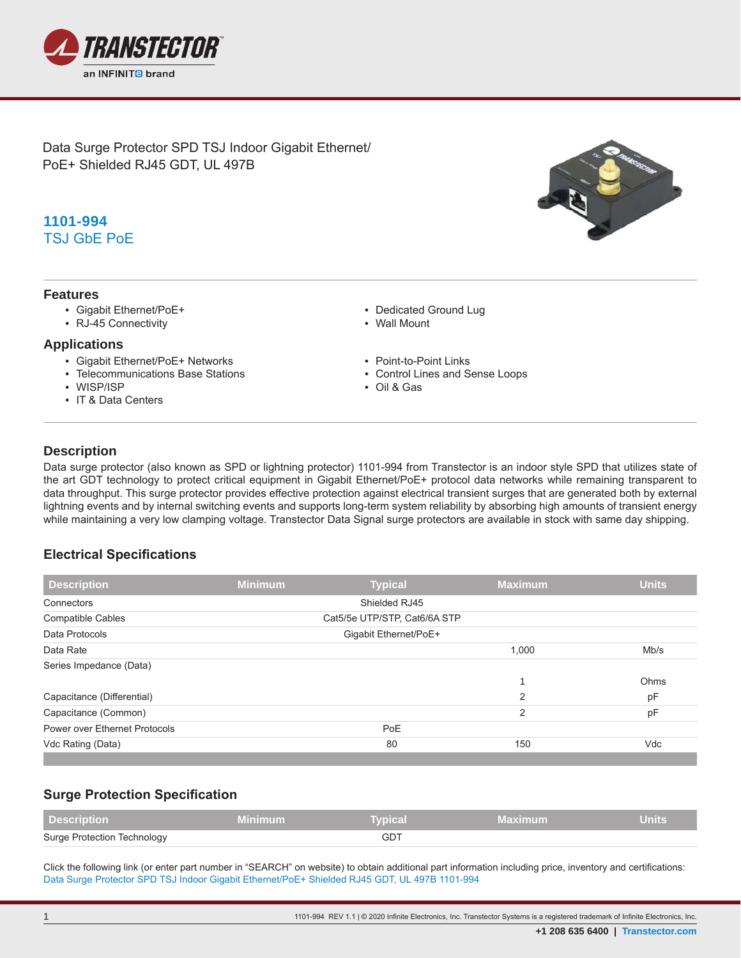

Data Surge Protector SPD TSJ Indoor Gigabit Ethernet/ PoE+ Shielded RJ45 GDT, UL 497B

# **1101-994** TSJ GbE PoE

#### **Features**

- Gigabit Ethernet/PoE+
- RJ-45 Connectivity

#### **Applications**

- Gigabit Ethernet/PoE+ Networks
- Telecommunications Base Stations
- WISP/ISP
- IT & Data Centers
- Dedicated Ground Lug
- Wall Mount
- 
- Point-to-Point Links • Control Lines and Sense Loops
- Oil & Gas

### **Description**

**.**

Data surge protector (also known as SPD or lightning protector) 1101-994 from Transtector is an indoor style SPD that utilizes state of the art GDT technology to protect critical equipment in Gigabit Ethernet/PoE+ protocol data networks while remaining transparent to data throughput. This surge protector provides effective protection against electrical transient surges that are generated both by external lightning events and by internal switching events and supports long-term system reliability by absorbing high amounts of transient energy while maintaining a very low clamping voltage. Transtector Data Signal surge protectors are available in stock with same day shipping.

### **Electrical Specifications**

| <b>Description</b>            | <b>Minimum</b>        | <b>Typical</b>               | <b>Maximum</b> | <b>Units</b> |  |  |
|-------------------------------|-----------------------|------------------------------|----------------|--------------|--|--|
| Connectors                    |                       | Shielded RJ45                |                |              |  |  |
| <b>Compatible Cables</b>      |                       | Cat5/5e UTP/STP, Cat6/6A STP |                |              |  |  |
| Data Protocols                | Gigabit Ethernet/PoE+ |                              |                |              |  |  |
| Data Rate                     |                       |                              | 1,000          | Mb/s         |  |  |
| Series Impedance (Data)       |                       |                              |                |              |  |  |
|                               |                       |                              |                | Ohms         |  |  |
| Capacitance (Differential)    |                       |                              | $\overline{2}$ | pF           |  |  |
| Capacitance (Common)          |                       |                              | $\overline{2}$ | pF           |  |  |
| Power over Ethernet Protocols |                       | <b>PoE</b>                   |                |              |  |  |
| Vdc Rating (Data)             |                       | 80                           | 150            | Vdc          |  |  |

## **Surge Protection Specification**

| <b>Description</b>          | Vinimum | <b>T</b> vpical | <b>Maximum</b> | Units |
|-----------------------------|---------|-----------------|----------------|-------|
| Surge Protection Technology |         | GD.             |                |       |

Click the following link (or enter part number in "SEARCH" on website) to obtain additional part information including price, inventory and certifications: Data Surge Protector SPD TSJ Indoor Gigabit Ethernet/PoE+ Shielded RJ45 GDT, UL 497B 1101-994

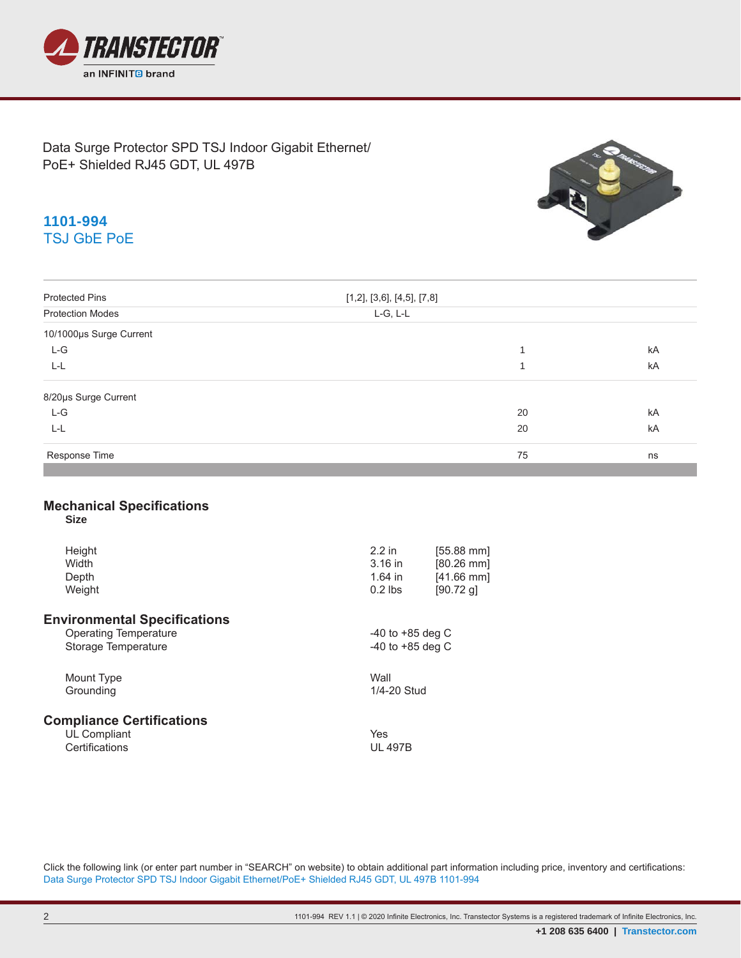

Data Surge Protector SPD TSJ Indoor Gigabit Ethernet/ PoE+ Shielded RJ45 GDT, UL 497B



# **1101-994** TSJ GbE PoE

| <b>Protected Pins</b>                           | [1,2], [3,6], [4,5], [7,8]     |                                              |    |  |  |
|-------------------------------------------------|--------------------------------|----------------------------------------------|----|--|--|
| <b>Protection Modes</b>                         | L-G, L-L                       |                                              |    |  |  |
| 10/1000µs Surge Current                         |                                |                                              |    |  |  |
| $L-G$                                           |                                | 1                                            | kA |  |  |
| $L-L$                                           |                                | $\mathbf{1}$                                 | kA |  |  |
| 8/20us Surge Current                            |                                |                                              |    |  |  |
| $L-G$                                           |                                | 20                                           | kA |  |  |
| $L-L$                                           |                                | 20                                           | kA |  |  |
| Response Time                                   |                                | 75                                           | ns |  |  |
| <b>Mechanical Specifications</b><br><b>Size</b> |                                |                                              |    |  |  |
| Height<br>Width<br>Depth                        | $2.2$ in<br>3.16 in<br>1.64 in | $[55.88$ mm]<br>$[80.26$ mm]<br>$[41.66$ mm] |    |  |  |
| Weight                                          | $0.2$ lbs                      | [90.72 g]                                    |    |  |  |
| <b>Environmental Specifications</b>             |                                |                                              |    |  |  |
| <b>Operating Temperature</b>                    |                                | -40 to +85 deg C                             |    |  |  |
| Storage Temperature                             |                                | -40 to $+85$ deg C                           |    |  |  |
| Mount Type                                      | Wall                           |                                              |    |  |  |
| Grounding                                       | 1/4-20 Stud                    |                                              |    |  |  |
| <b>Compliance Certifications</b>                |                                |                                              |    |  |  |
| UL Compliant                                    | Yes                            |                                              |    |  |  |
| Certifications                                  | <b>UL 497B</b>                 |                                              |    |  |  |

Click the following link (or enter part number in "SEARCH" on website) to obtain additional part information including price, inventory and certifications: Data Surge Protector SPD TSJ Indoor Gigabit Ethernet/PoE+ Shielded RJ45 GDT, UL 497B 1101-994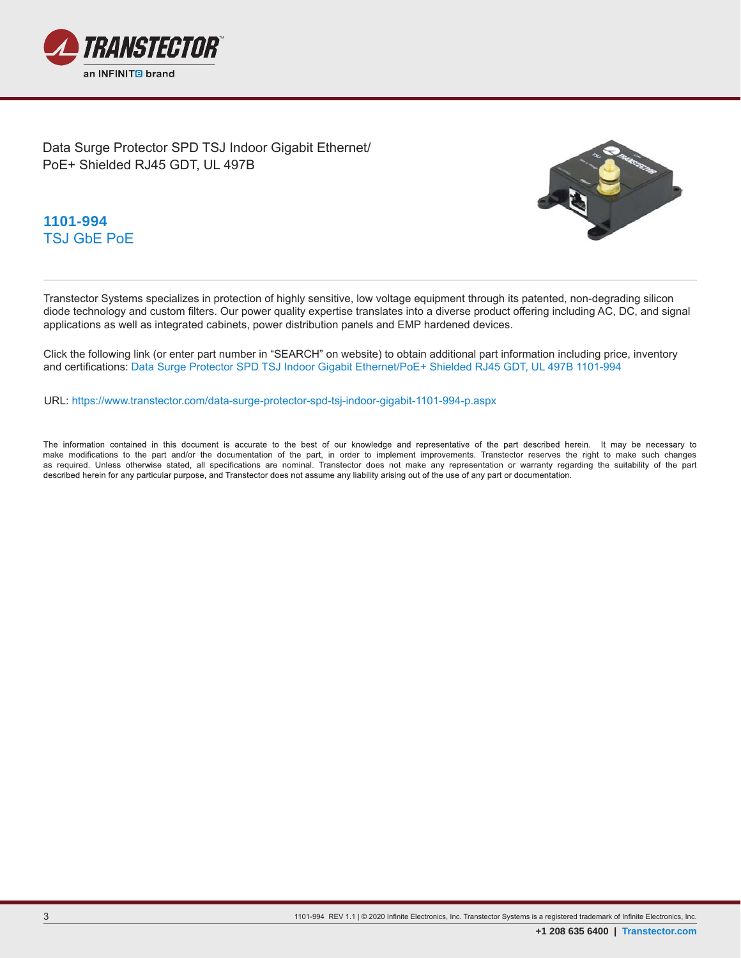

Data Surge Protector SPD TSJ Indoor Gigabit Ethernet/ PoE+ Shielded RJ45 GDT, UL 497B



**1101-994** TSJ GbE PoE

Transtector Systems specializes in protection of highly sensitive, low voltage equipment through its patented, non-degrading silicon diode technology and custom filters. Our power quality expertise translates into a diverse product offering including AC, DC, and signal applications as well as integrated cabinets, power distribution panels and EMP hardened devices.

Click the following link (or enter part number in "SEARCH" on website) to obtain additional part information including price, inventory and certifications: Data Surge Protector SPD TSJ Indoor Gigabit Ethernet/PoE+ Shielded RJ45 GDT, UL 497B 1101-994

URL: https://www.transtector.com/data-surge-protector-spd-tsj-indoor-gigabit-1101-994-p.aspx

The information contained in this document is accurate to the best of our knowledge and representative of the part described herein. It may be necessary to make modifications to the part and/or the documentation of the part, in order to implement improvements. Transtector reserves the right to make such changes as required. Unless otherwise stated, all specifications are nominal. Transtector does not make any representation or warranty regarding the suitability of the part described herein for any particular purpose, and Transtector does not assume any liability arising out of the use of any part or documentation.